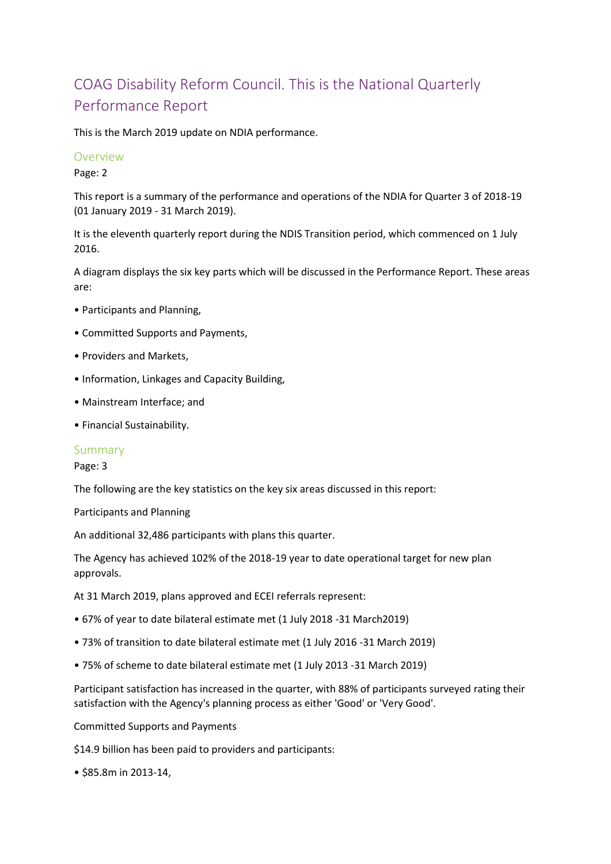## COAG Disability Reform Council. This is the National Quarterly Performance Report

This is the March 2019 update on NDIA performance.

#### **Overview**

Page: 2

This report is a summary of the performance and operations of the NDIA for Quarter 3 of 2018-19 (01 January 2019 - 31 March 2019).

It is the eleventh quarterly report during the NDIS Transition period, which commenced on 1 July 2016.

A diagram displays the six key parts which will be discussed in the Performance Report. These areas are:

- Participants and Planning,
- Committed Supports and Payments,
- Providers and Markets,
- Information, Linkages and Capacity Building,
- Mainstream Interface; and
- Financial Sustainability.

#### Summary

#### Page: 3

The following are the key statistics on the key six areas discussed in this report:

Participants and Planning

An additional 32,486 participants with plans this quarter.

The Agency has achieved 102% of the 2018-19 year to date operational target for new plan approvals.

At 31 March 2019, plans approved and ECEI referrals represent:

- 67% of year to date bilateral estimate met (1 July 2018 -31 March2019)
- 73% of transition to date bilateral estimate met (1 July 2016 -31 March 2019)
- 75% of scheme to date bilateral estimate met (1 July 2013 -31 March 2019)

Participant satisfaction has increased in the quarter, with 88% of participants surveyed rating their satisfaction with the Agency's planning process as either 'Good' or 'Very Good'.

Committed Supports and Payments

\$14.9 billion has been paid to providers and participants:

• \$85.8m in 2013-14,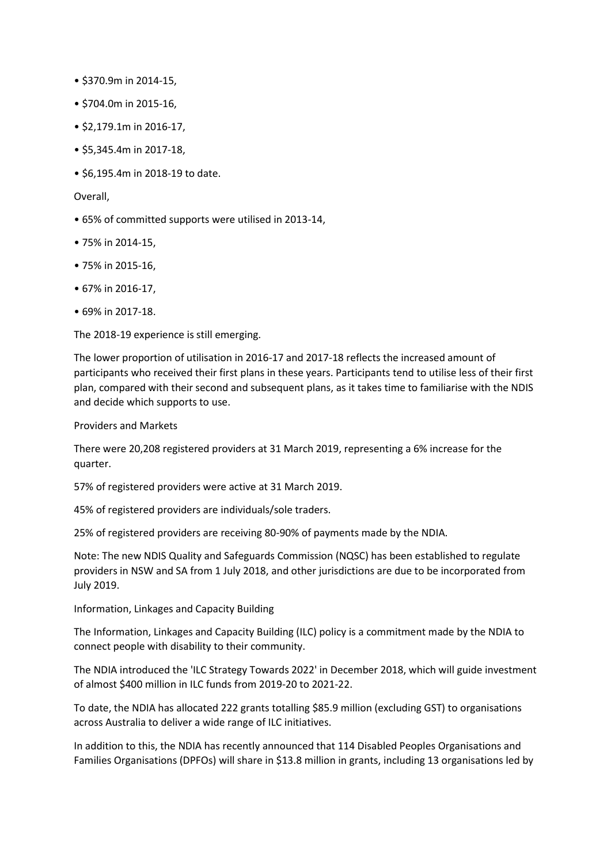- \$370.9m in 2014-15,
- \$704.0m in 2015-16,
- \$2,179.1m in 2016-17,
- \$5,345.4m in 2017-18,
- \$6,195.4m in 2018-19 to date.

#### Overall,

- 65% of committed supports were utilised in 2013-14,
- 75% in 2014-15,
- 75% in 2015-16,
- 67% in 2016-17,
- 69% in 2017-18.

The 2018-19 experience is still emerging.

The lower proportion of utilisation in 2016-17 and 2017-18 reflects the increased amount of participants who received their first plans in these years. Participants tend to utilise less of their first plan, compared with their second and subsequent plans, as it takes time to familiarise with the NDIS and decide which supports to use.

Providers and Markets

There were 20,208 registered providers at 31 March 2019, representing a 6% increase for the quarter.

57% of registered providers were active at 31 March 2019.

45% of registered providers are individuals/sole traders.

25% of registered providers are receiving 80-90% of payments made by the NDIA.

Note: The new NDIS Quality and Safeguards Commission (NQSC) has been established to regulate providers in NSW and SA from 1 July 2018, and other jurisdictions are due to be incorporated from July 2019.

Information, Linkages and Capacity Building

The Information, Linkages and Capacity Building (ILC) policy is a commitment made by the NDIA to connect people with disability to their community.

The NDIA introduced the 'ILC Strategy Towards 2022' in December 2018, which will guide investment of almost \$400 million in ILC funds from 2019-20 to 2021-22.

To date, the NDIA has allocated 222 grants totalling \$85.9 million (excluding GST) to organisations across Australia to deliver a wide range of ILC initiatives.

In addition to this, the NDIA has recently announced that 114 Disabled Peoples Organisations and Families Organisations (DPFOs) will share in \$13.8 million in grants, including 13 organisations led by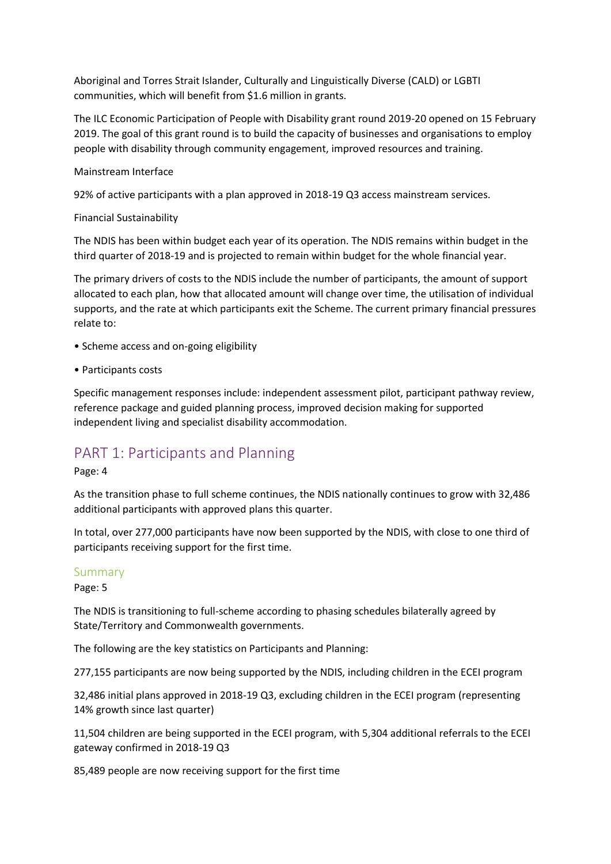Aboriginal and Torres Strait Islander, Culturally and Linguistically Diverse (CALD) or LGBTI communities, which will benefit from \$1.6 million in grants.

The ILC Economic Participation of People with Disability grant round 2019-20 opened on 15 February 2019. The goal of this grant round is to build the capacity of businesses and organisations to employ people with disability through community engagement, improved resources and training.

#### Mainstream Interface

92% of active participants with a plan approved in 2018-19 Q3 access mainstream services.

#### Financial Sustainability

The NDIS has been within budget each year of its operation. The NDIS remains within budget in the third quarter of 2018-19 and is projected to remain within budget for the whole financial year.

The primary drivers of costs to the NDIS include the number of participants, the amount of support allocated to each plan, how that allocated amount will change over time, the utilisation of individual supports, and the rate at which participants exit the Scheme. The current primary financial pressures relate to:

- Scheme access and on-going eligibility
- Participants costs

Specific management responses include: independent assessment pilot, participant pathway review, reference package and guided planning process, improved decision making for supported independent living and specialist disability accommodation.

### PART 1: Participants and Planning

Page: 4

As the transition phase to full scheme continues, the NDIS nationally continues to grow with 32,486 additional participants with approved plans this quarter.

In total, over 277,000 participants have now been supported by the NDIS, with close to one third of participants receiving support for the first time.

#### Summary

Page: 5

The NDIS is transitioning to full-scheme according to phasing schedules bilaterally agreed by State/Territory and Commonwealth governments.

The following are the key statistics on Participants and Planning:

277,155 participants are now being supported by the NDIS, including children in the ECEI program

32,486 initial plans approved in 2018-19 Q3, excluding children in the ECEI program (representing 14% growth since last quarter)

11,504 children are being supported in the ECEI program, with 5,304 additional referrals to the ECEI gateway confirmed in 2018-19 Q3

85,489 people are now receiving support for the first time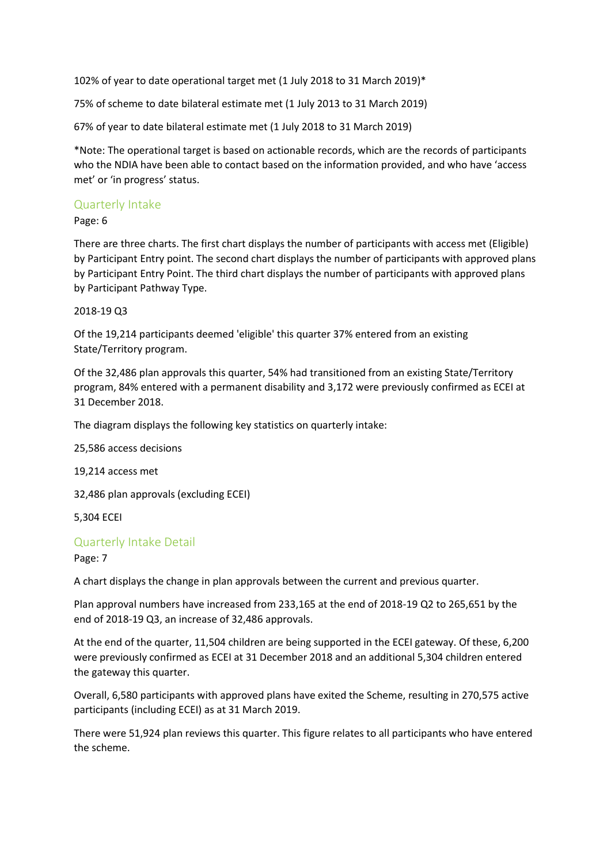102% of year to date operational target met (1 July 2018 to 31 March 2019)\*

75% of scheme to date bilateral estimate met (1 July 2013 to 31 March 2019)

67% of year to date bilateral estimate met (1 July 2018 to 31 March 2019)

\*Note: The operational target is based on actionable records, which are the records of participants who the NDIA have been able to contact based on the information provided, and who have 'access met' or 'in progress' status.

#### Quarterly Intake

Page: 6

There are three charts. The first chart displays the number of participants with access met (Eligible) by Participant Entry point. The second chart displays the number of participants with approved plans by Participant Entry Point. The third chart displays the number of participants with approved plans by Participant Pathway Type.

#### 2018-19 Q3

Of the 19,214 participants deemed 'eligible' this quarter 37% entered from an existing State/Territory program.

Of the 32,486 plan approvals this quarter, 54% had transitioned from an existing State/Territory program, 84% entered with a permanent disability and 3,172 were previously confirmed as ECEI at 31 December 2018.

The diagram displays the following key statistics on quarterly intake:

25,586 access decisions

19,214 access met

32,486 plan approvals (excluding ECEI)

5,304 ECEI

#### Quarterly Intake Detail

Page: 7

A chart displays the change in plan approvals between the current and previous quarter.

Plan approval numbers have increased from 233,165 at the end of 2018-19 Q2 to 265,651 by the end of 2018-19 Q3, an increase of 32,486 approvals.

At the end of the quarter, 11,504 children are being supported in the ECEI gateway. Of these, 6,200 were previously confirmed as ECEI at 31 December 2018 and an additional 5,304 children entered the gateway this quarter.

Overall, 6,580 participants with approved plans have exited the Scheme, resulting in 270,575 active participants (including ECEI) as at 31 March 2019.

There were 51,924 plan reviews this quarter. This figure relates to all participants who have entered the scheme.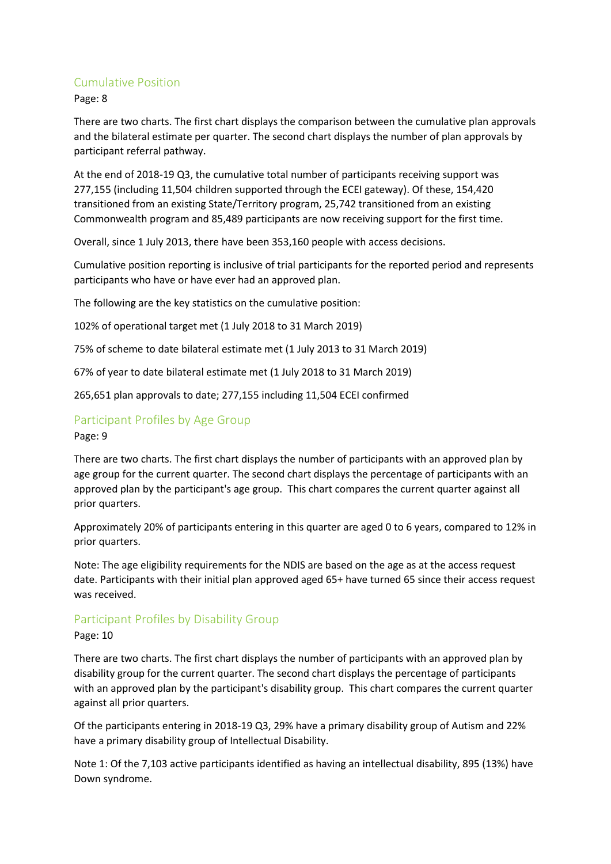#### Cumulative Position

Page: 8

There are two charts. The first chart displays the comparison between the cumulative plan approvals and the bilateral estimate per quarter. The second chart displays the number of plan approvals by participant referral pathway.

At the end of 2018-19 Q3, the cumulative total number of participants receiving support was 277,155 (including 11,504 children supported through the ECEI gateway). Of these, 154,420 transitioned from an existing State/Territory program, 25,742 transitioned from an existing Commonwealth program and 85,489 participants are now receiving support for the first time.

Overall, since 1 July 2013, there have been 353,160 people with access decisions.

Cumulative position reporting is inclusive of trial participants for the reported period and represents participants who have or have ever had an approved plan.

The following are the key statistics on the cumulative position:

102% of operational target met (1 July 2018 to 31 March 2019)

75% of scheme to date bilateral estimate met (1 July 2013 to 31 March 2019)

67% of year to date bilateral estimate met (1 July 2018 to 31 March 2019)

265,651 plan approvals to date; 277,155 including 11,504 ECEI confirmed

## Participant Profiles by Age Group

Page: 9

There are two charts. The first chart displays the number of participants with an approved plan by age group for the current quarter. The second chart displays the percentage of participants with an approved plan by the participant's age group. This chart compares the current quarter against all prior quarters.

Approximately 20% of participants entering in this quarter are aged 0 to 6 years, compared to 12% in prior quarters.

Note: The age eligibility requirements for the NDIS are based on the age as at the access request date. Participants with their initial plan approved aged 65+ have turned 65 since their access request was received.

#### Participant Profiles by Disability Group

Page: 10

There are two charts. The first chart displays the number of participants with an approved plan by disability group for the current quarter. The second chart displays the percentage of participants with an approved plan by the participant's disability group. This chart compares the current quarter against all prior quarters.

Of the participants entering in 2018-19 Q3, 29% have a primary disability group of Autism and 22% have a primary disability group of Intellectual Disability.

Note 1: Of the 7,103 active participants identified as having an intellectual disability, 895 (13%) have Down syndrome.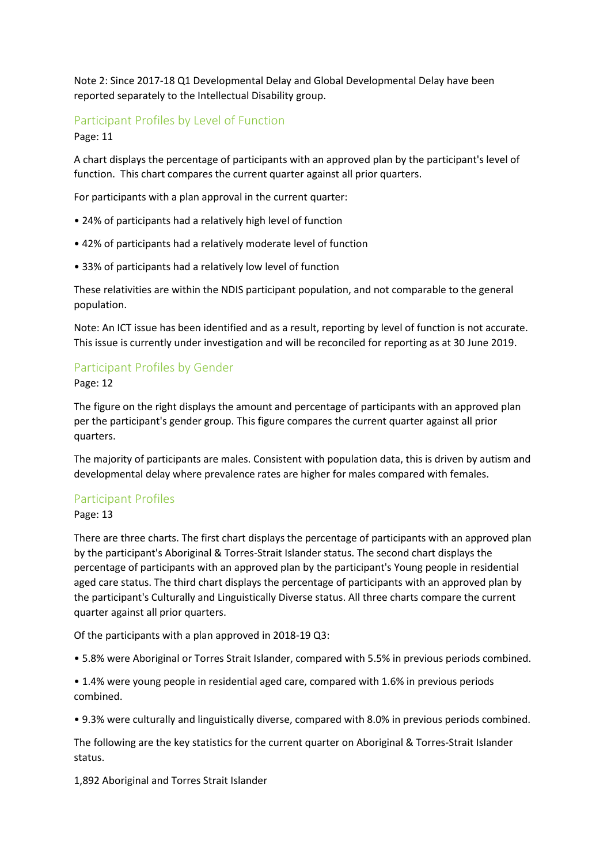Note 2: Since 2017-18 Q1 Developmental Delay and Global Developmental Delay have been reported separately to the Intellectual Disability group.

#### Participant Profiles by Level of Function

Page: 11

A chart displays the percentage of participants with an approved plan by the participant's level of function. This chart compares the current quarter against all prior quarters.

For participants with a plan approval in the current quarter:

- 24% of participants had a relatively high level of function
- 42% of participants had a relatively moderate level of function
- 33% of participants had a relatively low level of function

These relativities are within the NDIS participant population, and not comparable to the general population.

Note: An ICT issue has been identified and as a result, reporting by level of function is not accurate. This issue is currently under investigation and will be reconciled for reporting as at 30 June 2019.

#### Participant Profiles by Gender

Page: 12

The figure on the right displays the amount and percentage of participants with an approved plan per the participant's gender group. This figure compares the current quarter against all prior quarters.

The majority of participants are males. Consistent with population data, this is driven by autism and developmental delay where prevalence rates are higher for males compared with females.

#### Participant Profiles

Page: 13

There are three charts. The first chart displays the percentage of participants with an approved plan by the participant's Aboriginal & Torres-Strait Islander status. The second chart displays the percentage of participants with an approved plan by the participant's Young people in residential aged care status. The third chart displays the percentage of participants with an approved plan by the participant's Culturally and Linguistically Diverse status. All three charts compare the current quarter against all prior quarters.

Of the participants with a plan approved in 2018-19 Q3:

• 5.8% were Aboriginal or Torres Strait Islander, compared with 5.5% in previous periods combined.

• 1.4% were young people in residential aged care, compared with 1.6% in previous periods combined.

• 9.3% were culturally and linguistically diverse, compared with 8.0% in previous periods combined.

The following are the key statistics for the current quarter on Aboriginal & Torres-Strait Islander status.

1,892 Aboriginal and Torres Strait Islander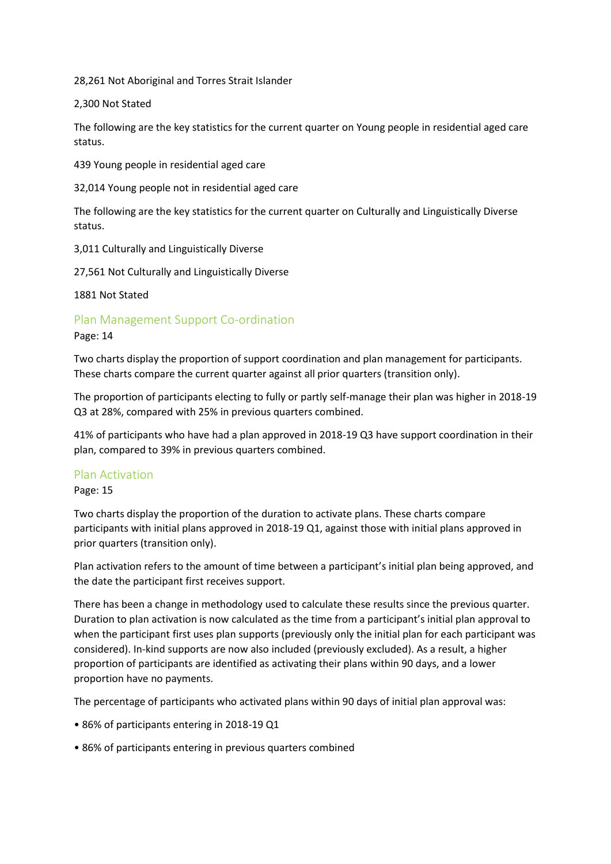28,261 Not Aboriginal and Torres Strait Islander

#### 2,300 Not Stated

The following are the key statistics for the current quarter on Young people in residential aged care status.

439 Young people in residential aged care

32,014 Young people not in residential aged care

The following are the key statistics for the current quarter on Culturally and Linguistically Diverse status.

3,011 Culturally and Linguistically Diverse

27,561 Not Culturally and Linguistically Diverse

1881 Not Stated

Plan Management Support Co-ordination

#### Page: 14

Two charts display the proportion of support coordination and plan management for participants. These charts compare the current quarter against all prior quarters (transition only).

The proportion of participants electing to fully or partly self-manage their plan was higher in 2018-19 Q3 at 28%, compared with 25% in previous quarters combined.

41% of participants who have had a plan approved in 2018-19 Q3 have support coordination in their plan, compared to 39% in previous quarters combined.

#### Plan Activation

Page: 15

Two charts display the proportion of the duration to activate plans. These charts compare participants with initial plans approved in 2018-19 Q1, against those with initial plans approved in prior quarters (transition only).

Plan activation refers to the amount of time between a participant's initial plan being approved, and the date the participant first receives support.

There has been a change in methodology used to calculate these results since the previous quarter. Duration to plan activation is now calculated as the time from a participant's initial plan approval to when the participant first uses plan supports (previously only the initial plan for each participant was considered). In-kind supports are now also included (previously excluded). As a result, a higher proportion of participants are identified as activating their plans within 90 days, and a lower proportion have no payments.

The percentage of participants who activated plans within 90 days of initial plan approval was:

- 86% of participants entering in 2018-19 Q1
- 86% of participants entering in previous quarters combined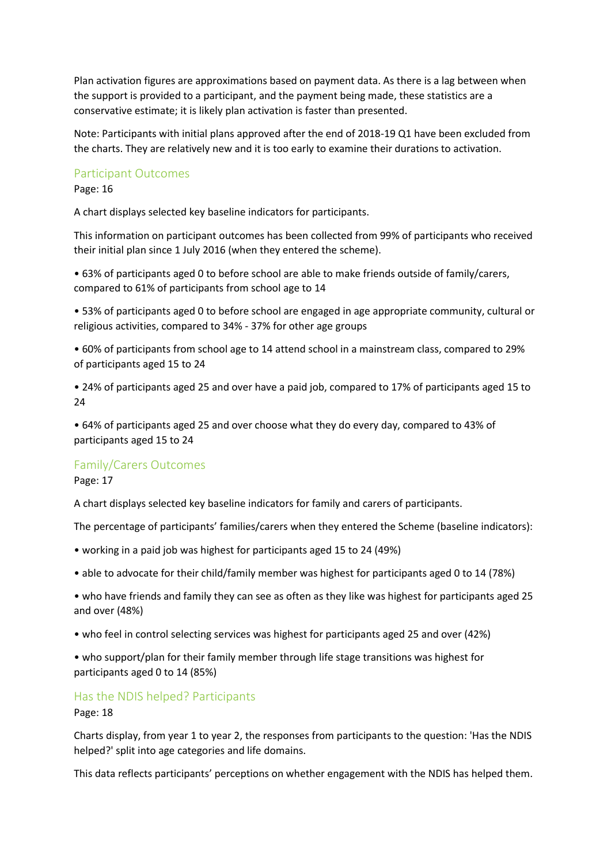Plan activation figures are approximations based on payment data. As there is a lag between when the support is provided to a participant, and the payment being made, these statistics are a conservative estimate; it is likely plan activation is faster than presented.

Note: Participants with initial plans approved after the end of 2018-19 Q1 have been excluded from the charts. They are relatively new and it is too early to examine their durations to activation.

#### Participant Outcomes

Page: 16

A chart displays selected key baseline indicators for participants.

This information on participant outcomes has been collected from 99% of participants who received their initial plan since 1 July 2016 (when they entered the scheme).

• 63% of participants aged 0 to before school are able to make friends outside of family/carers, compared to 61% of participants from school age to 14

• 53% of participants aged 0 to before school are engaged in age appropriate community, cultural or religious activities, compared to 34% - 37% for other age groups

• 60% of participants from school age to 14 attend school in a mainstream class, compared to 29% of participants aged 15 to 24

• 24% of participants aged 25 and over have a paid job, compared to 17% of participants aged 15 to 24

• 64% of participants aged 25 and over choose what they do every day, compared to 43% of participants aged 15 to 24

#### Family/Carers Outcomes

Page: 17

A chart displays selected key baseline indicators for family and carers of participants.

The percentage of participants' families/carers when they entered the Scheme (baseline indicators):

- working in a paid job was highest for participants aged 15 to 24 (49%)
- able to advocate for their child/family member was highest for participants aged 0 to 14 (78%)
- who have friends and family they can see as often as they like was highest for participants aged 25 and over (48%)
- who feel in control selecting services was highest for participants aged 25 and over (42%)
- who support/plan for their family member through life stage transitions was highest for participants aged 0 to 14 (85%)

#### Has the NDIS helped? Participants

Page: 18

Charts display, from year 1 to year 2, the responses from participants to the question: 'Has the NDIS helped?' split into age categories and life domains.

This data reflects participants' perceptions on whether engagement with the NDIS has helped them.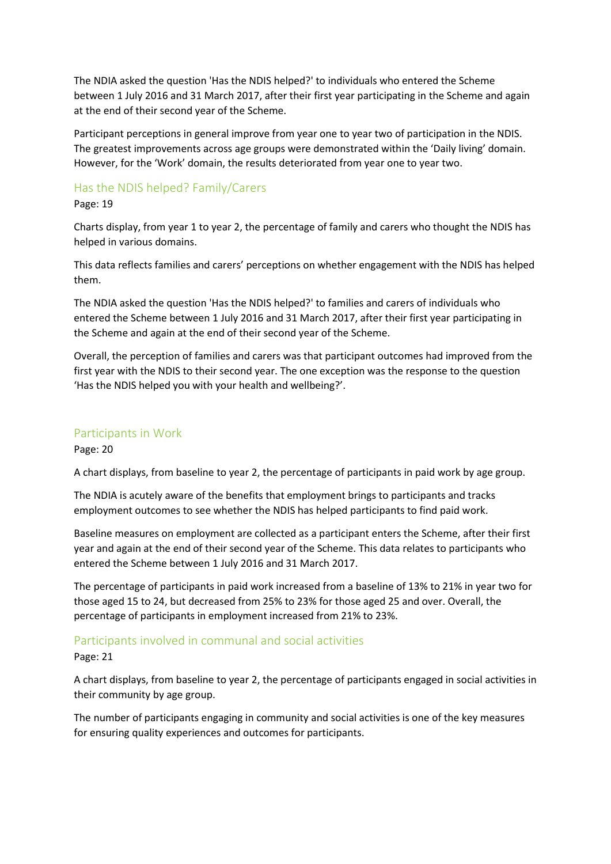The NDIA asked the question 'Has the NDIS helped?' to individuals who entered the Scheme between 1 July 2016 and 31 March 2017, after their first year participating in the Scheme and again at the end of their second year of the Scheme.

Participant perceptions in general improve from year one to year two of participation in the NDIS. The greatest improvements across age groups were demonstrated within the 'Daily living' domain. However, for the 'Work' domain, the results deteriorated from year one to year two.

#### Has the NDIS helped? Family/Carers

#### Page: 19

Charts display, from year 1 to year 2, the percentage of family and carers who thought the NDIS has helped in various domains.

This data reflects families and carers' perceptions on whether engagement with the NDIS has helped them.

The NDIA asked the question 'Has the NDIS helped?' to families and carers of individuals who entered the Scheme between 1 July 2016 and 31 March 2017, after their first year participating in the Scheme and again at the end of their second year of the Scheme.

Overall, the perception of families and carers was that participant outcomes had improved from the first year with the NDIS to their second year. The one exception was the response to the question 'Has the NDIS helped you with your health and wellbeing?'.

#### Participants in Work

Page: 20

A chart displays, from baseline to year 2, the percentage of participants in paid work by age group.

The NDIA is acutely aware of the benefits that employment brings to participants and tracks employment outcomes to see whether the NDIS has helped participants to find paid work.

Baseline measures on employment are collected as a participant enters the Scheme, after their first year and again at the end of their second year of the Scheme. This data relates to participants who entered the Scheme between 1 July 2016 and 31 March 2017.

The percentage of participants in paid work increased from a baseline of 13% to 21% in year two for those aged 15 to 24, but decreased from 25% to 23% for those aged 25 and over. Overall, the percentage of participants in employment increased from 21% to 23%.

#### Participants involved in communal and social activities

Page: 21

A chart displays, from baseline to year 2, the percentage of participants engaged in social activities in their community by age group.

The number of participants engaging in community and social activities is one of the key measures for ensuring quality experiences and outcomes for participants.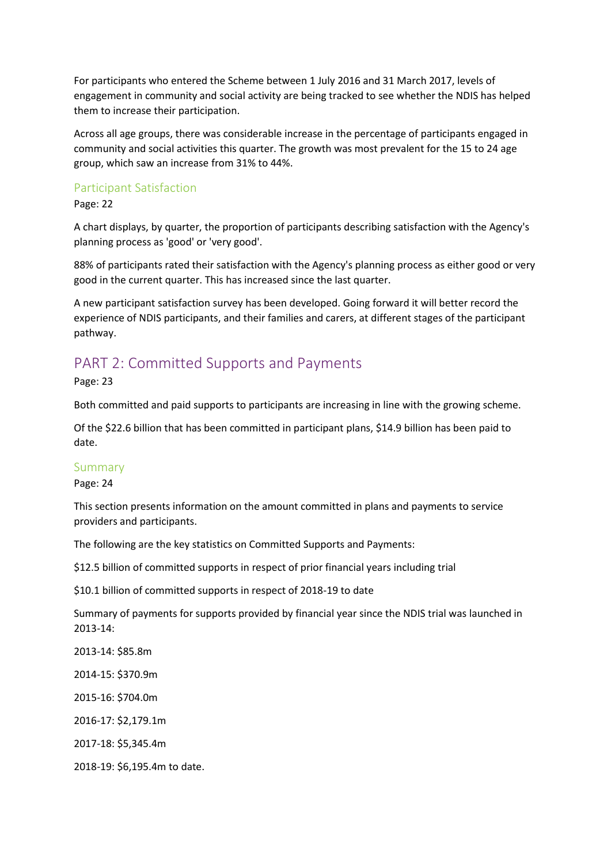For participants who entered the Scheme between 1 July 2016 and 31 March 2017, levels of engagement in community and social activity are being tracked to see whether the NDIS has helped them to increase their participation.

Across all age groups, there was considerable increase in the percentage of participants engaged in community and social activities this quarter. The growth was most prevalent for the 15 to 24 age group, which saw an increase from 31% to 44%.

#### Participant Satisfaction

Page: 22

A chart displays, by quarter, the proportion of participants describing satisfaction with the Agency's planning process as 'good' or 'very good'.

88% of participants rated their satisfaction with the Agency's planning process as either good or very good in the current quarter. This has increased since the last quarter.

A new participant satisfaction survey has been developed. Going forward it will better record the experience of NDIS participants, and their families and carers, at different stages of the participant pathway.

### PART 2: Committed Supports and Payments

Page: 23

Both committed and paid supports to participants are increasing in line with the growing scheme.

Of the \$22.6 billion that has been committed in participant plans, \$14.9 billion has been paid to date.

#### Summary

Page: 24

This section presents information on the amount committed in plans and payments to service providers and participants.

The following are the key statistics on Committed Supports and Payments:

\$12.5 billion of committed supports in respect of prior financial years including trial

\$10.1 billion of committed supports in respect of 2018-19 to date

Summary of payments for supports provided by financial year since the NDIS trial was launched in 2013-14:

2013-14: \$85.8m

2014-15: \$370.9m

2015-16: \$704.0m

2016-17: \$2,179.1m

2017-18: \$5,345.4m

2018-19: \$6,195.4m to date.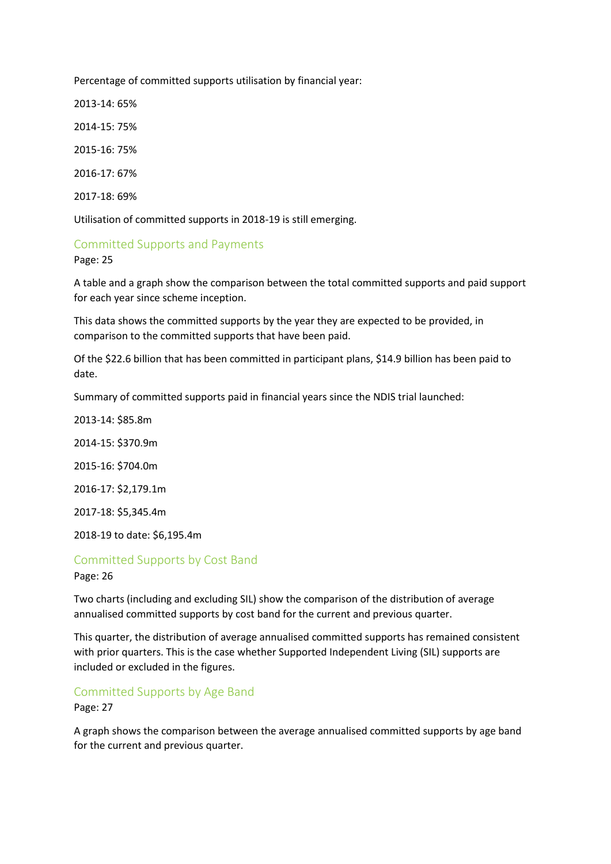Percentage of committed supports utilisation by financial year:

2013-14: 65%

2014-15: 75%

2015-16: 75%

2016-17: 67%

2017-18: 69%

Utilisation of committed supports in 2018-19 is still emerging.

#### Committed Supports and Payments

Page: 25

A table and a graph show the comparison between the total committed supports and paid support for each year since scheme inception.

This data shows the committed supports by the year they are expected to be provided, in comparison to the committed supports that have been paid.

Of the \$22.6 billion that has been committed in participant plans, \$14.9 billion has been paid to date.

Summary of committed supports paid in financial years since the NDIS trial launched:

2013-14: \$85.8m

2014-15: \$370.9m

2015-16: \$704.0m

2016-17: \$2,179.1m

2017-18: \$5,345.4m

2018-19 to date: \$6,195.4m

## Committed Supports by Cost Band

Page: 26

Two charts (including and excluding SIL) show the comparison of the distribution of average annualised committed supports by cost band for the current and previous quarter.

This quarter, the distribution of average annualised committed supports has remained consistent with prior quarters. This is the case whether Supported Independent Living (SIL) supports are included or excluded in the figures.

#### Committed Supports by Age Band

Page: 27

A graph shows the comparison between the average annualised committed supports by age band for the current and previous quarter.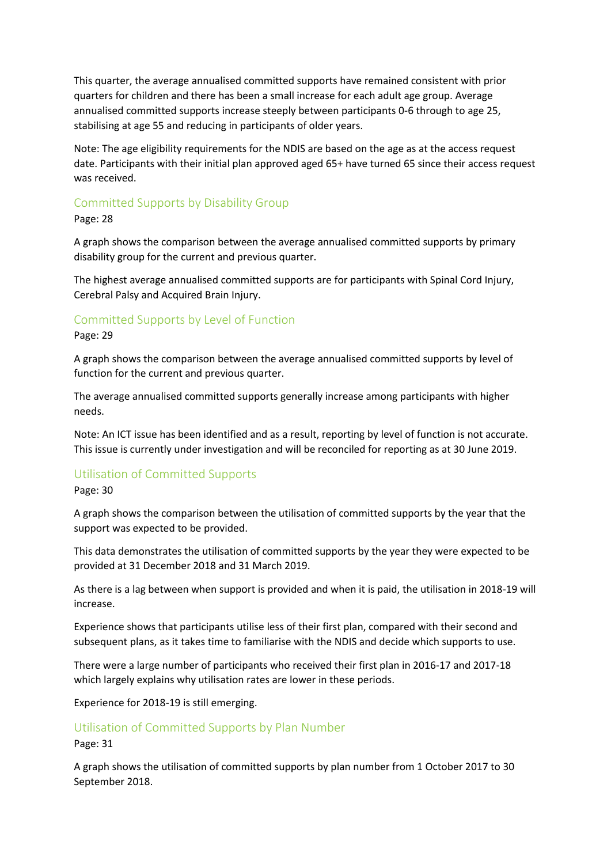This quarter, the average annualised committed supports have remained consistent with prior quarters for children and there has been a small increase for each adult age group. Average annualised committed supports increase steeply between participants 0-6 through to age 25, stabilising at age 55 and reducing in participants of older years.

Note: The age eligibility requirements for the NDIS are based on the age as at the access request date. Participants with their initial plan approved aged 65+ have turned 65 since their access request was received.

#### Committed Supports by Disability Group

Page: 28

A graph shows the comparison between the average annualised committed supports by primary disability group for the current and previous quarter.

The highest average annualised committed supports are for participants with Spinal Cord Injury, Cerebral Palsy and Acquired Brain Injury.

#### Committed Supports by Level of Function

Page: 29

A graph shows the comparison between the average annualised committed supports by level of function for the current and previous quarter.

The average annualised committed supports generally increase among participants with higher needs.

Note: An ICT issue has been identified and as a result, reporting by level of function is not accurate. This issue is currently under investigation and will be reconciled for reporting as at 30 June 2019.

#### Utilisation of Committed Supports

#### Page: 30

A graph shows the comparison between the utilisation of committed supports by the year that the support was expected to be provided.

This data demonstrates the utilisation of committed supports by the year they were expected to be provided at 31 December 2018 and 31 March 2019.

As there is a lag between when support is provided and when it is paid, the utilisation in 2018-19 will increase.

Experience shows that participants utilise less of their first plan, compared with their second and subsequent plans, as it takes time to familiarise with the NDIS and decide which supports to use.

There were a large number of participants who received their first plan in 2016-17 and 2017-18 which largely explains why utilisation rates are lower in these periods.

Experience for 2018-19 is still emerging.

#### Utilisation of Committed Supports by Plan Number

Page: 31

A graph shows the utilisation of committed supports by plan number from 1 October 2017 to 30 September 2018.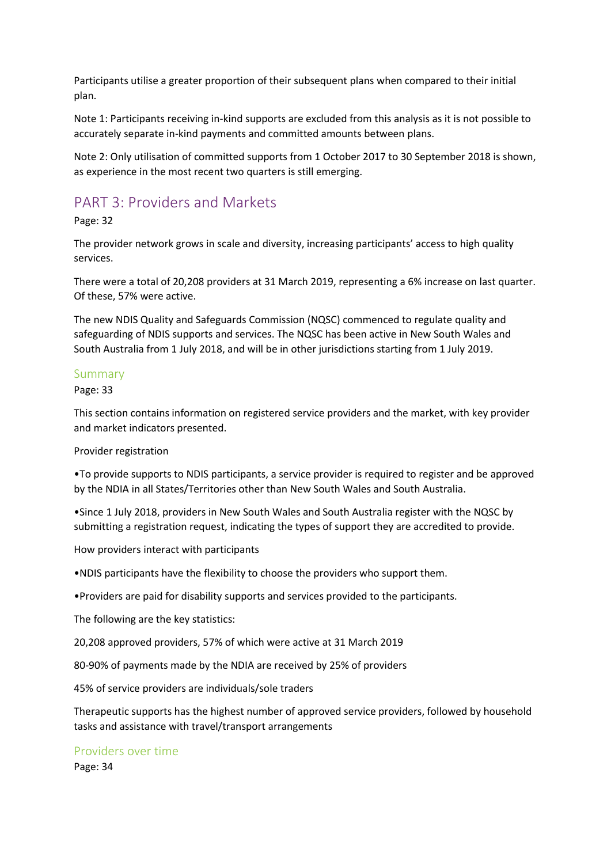Participants utilise a greater proportion of their subsequent plans when compared to their initial plan.

Note 1: Participants receiving in-kind supports are excluded from this analysis as it is not possible to accurately separate in-kind payments and committed amounts between plans.

Note 2: Only utilisation of committed supports from 1 October 2017 to 30 September 2018 is shown, as experience in the most recent two quarters is still emerging.

### PART 3: Providers and Markets

#### Page: 32

The provider network grows in scale and diversity, increasing participants' access to high quality services.

There were a total of 20,208 providers at 31 March 2019, representing a 6% increase on last quarter. Of these, 57% were active.

The new NDIS Quality and Safeguards Commission (NQSC) commenced to regulate quality and safeguarding of NDIS supports and services. The NQSC has been active in New South Wales and South Australia from 1 July 2018, and will be in other jurisdictions starting from 1 July 2019.

#### Summary

Page: 33

This section contains information on registered service providers and the market, with key provider and market indicators presented.

#### Provider registration

•To provide supports to NDIS participants, a service provider is required to register and be approved by the NDIA in all States/Territories other than New South Wales and South Australia.

•Since 1 July 2018, providers in New South Wales and South Australia register with the NQSC by submitting a registration request, indicating the types of support they are accredited to provide.

How providers interact with participants

•NDIS participants have the flexibility to choose the providers who support them.

•Providers are paid for disability supports and services provided to the participants.

The following are the key statistics:

20,208 approved providers, 57% of which were active at 31 March 2019

80-90% of payments made by the NDIA are received by 25% of providers

45% of service providers are individuals/sole traders

Therapeutic supports has the highest number of approved service providers, followed by household tasks and assistance with travel/transport arrangements

#### Providers over time

Page: 34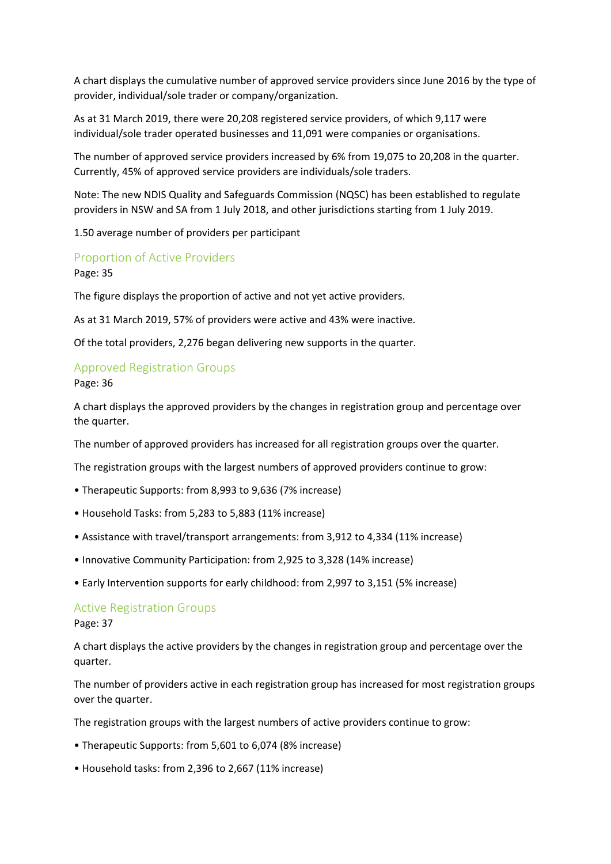A chart displays the cumulative number of approved service providers since June 2016 by the type of provider, individual/sole trader or company/organization.

As at 31 March 2019, there were 20,208 registered service providers, of which 9,117 were individual/sole trader operated businesses and 11,091 were companies or organisations.

The number of approved service providers increased by 6% from 19,075 to 20,208 in the quarter. Currently, 45% of approved service providers are individuals/sole traders.

Note: The new NDIS Quality and Safeguards Commission (NQSC) has been established to regulate providers in NSW and SA from 1 July 2018, and other jurisdictions starting from 1 July 2019.

1.50 average number of providers per participant

#### Proportion of Active Providers

Page: 35

The figure displays the proportion of active and not yet active providers.

As at 31 March 2019, 57% of providers were active and 43% were inactive.

Of the total providers, 2,276 began delivering new supports in the quarter.

#### Approved Registration Groups

Page: 36

A chart displays the approved providers by the changes in registration group and percentage over the quarter.

The number of approved providers has increased for all registration groups over the quarter.

The registration groups with the largest numbers of approved providers continue to grow:

- Therapeutic Supports: from 8,993 to 9,636 (7% increase)
- Household Tasks: from 5,283 to 5,883 (11% increase)
- Assistance with travel/transport arrangements: from 3,912 to 4,334 (11% increase)
- Innovative Community Participation: from 2,925 to 3,328 (14% increase)
- Early Intervention supports for early childhood: from 2,997 to 3,151 (5% increase)

#### Active Registration Groups

Page: 37

A chart displays the active providers by the changes in registration group and percentage over the quarter.

The number of providers active in each registration group has increased for most registration groups over the quarter.

The registration groups with the largest numbers of active providers continue to grow:

- Therapeutic Supports: from 5,601 to 6,074 (8% increase)
- Household tasks: from 2,396 to 2,667 (11% increase)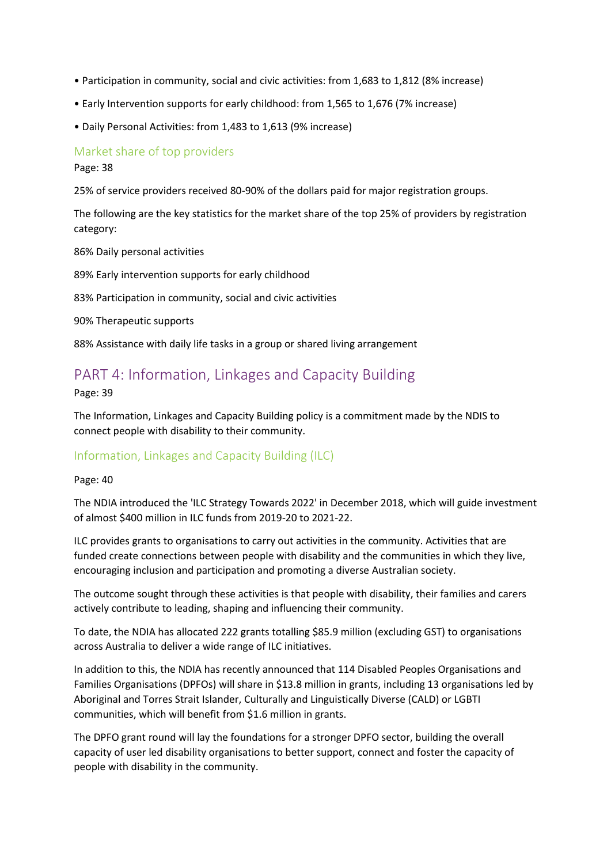- Participation in community, social and civic activities: from 1,683 to 1,812 (8% increase)
- Early Intervention supports for early childhood: from 1,565 to 1,676 (7% increase)
- Daily Personal Activities: from 1,483 to 1,613 (9% increase)

#### Market share of top providers

Page: 38

25% of service providers received 80-90% of the dollars paid for major registration groups.

The following are the key statistics for the market share of the top 25% of providers by registration category:

86% Daily personal activities

89% Early intervention supports for early childhood

83% Participation in community, social and civic activities

90% Therapeutic supports

88% Assistance with daily life tasks in a group or shared living arrangement

# PART 4: Information, Linkages and Capacity Building

Page: 39

The Information, Linkages and Capacity Building policy is a commitment made by the NDIS to connect people with disability to their community.

#### Information, Linkages and Capacity Building (ILC)

Page: 40

The NDIA introduced the 'ILC Strategy Towards 2022' in December 2018, which will guide investment of almost \$400 million in ILC funds from 2019-20 to 2021-22.

ILC provides grants to organisations to carry out activities in the community. Activities that are funded create connections between people with disability and the communities in which they live, encouraging inclusion and participation and promoting a diverse Australian society.

The outcome sought through these activities is that people with disability, their families and carers actively contribute to leading, shaping and influencing their community.

To date, the NDIA has allocated 222 grants totalling \$85.9 million (excluding GST) to organisations across Australia to deliver a wide range of ILC initiatives.

In addition to this, the NDIA has recently announced that 114 Disabled Peoples Organisations and Families Organisations (DPFOs) will share in \$13.8 million in grants, including 13 organisations led by Aboriginal and Torres Strait Islander, Culturally and Linguistically Diverse (CALD) or LGBTI communities, which will benefit from \$1.6 million in grants.

The DPFO grant round will lay the foundations for a stronger DPFO sector, building the overall capacity of user led disability organisations to better support, connect and foster the capacity of people with disability in the community.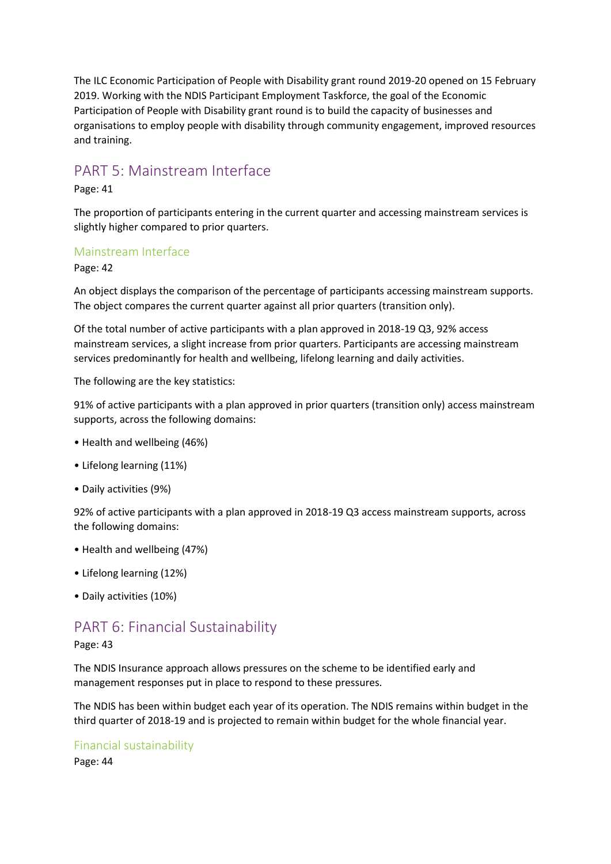The ILC Economic Participation of People with Disability grant round 2019-20 opened on 15 February 2019. Working with the NDIS Participant Employment Taskforce, the goal of the Economic Participation of People with Disability grant round is to build the capacity of businesses and organisations to employ people with disability through community engagement, improved resources and training.

### PART 5: Mainstream Interface

Page: 41

The proportion of participants entering in the current quarter and accessing mainstream services is slightly higher compared to prior quarters.

#### Mainstream Interface

Page: 42

An object displays the comparison of the percentage of participants accessing mainstream supports. The object compares the current quarter against all prior quarters (transition only).

Of the total number of active participants with a plan approved in 2018-19 Q3, 92% access mainstream services, a slight increase from prior quarters. Participants are accessing mainstream services predominantly for health and wellbeing, lifelong learning and daily activities.

The following are the key statistics:

91% of active participants with a plan approved in prior quarters (transition only) access mainstream supports, across the following domains:

- Health and wellbeing (46%)
- Lifelong learning (11%)
- Daily activities (9%)

92% of active participants with a plan approved in 2018-19 Q3 access mainstream supports, across the following domains:

- Health and wellbeing (47%)
- Lifelong learning (12%)
- Daily activities (10%)

### PART 6: Financial Sustainability

#### Page: 43

The NDIS Insurance approach allows pressures on the scheme to be identified early and management responses put in place to respond to these pressures.

The NDIS has been within budget each year of its operation. The NDIS remains within budget in the third quarter of 2018-19 and is projected to remain within budget for the whole financial year.

#### Financial sustainability

Page: 44